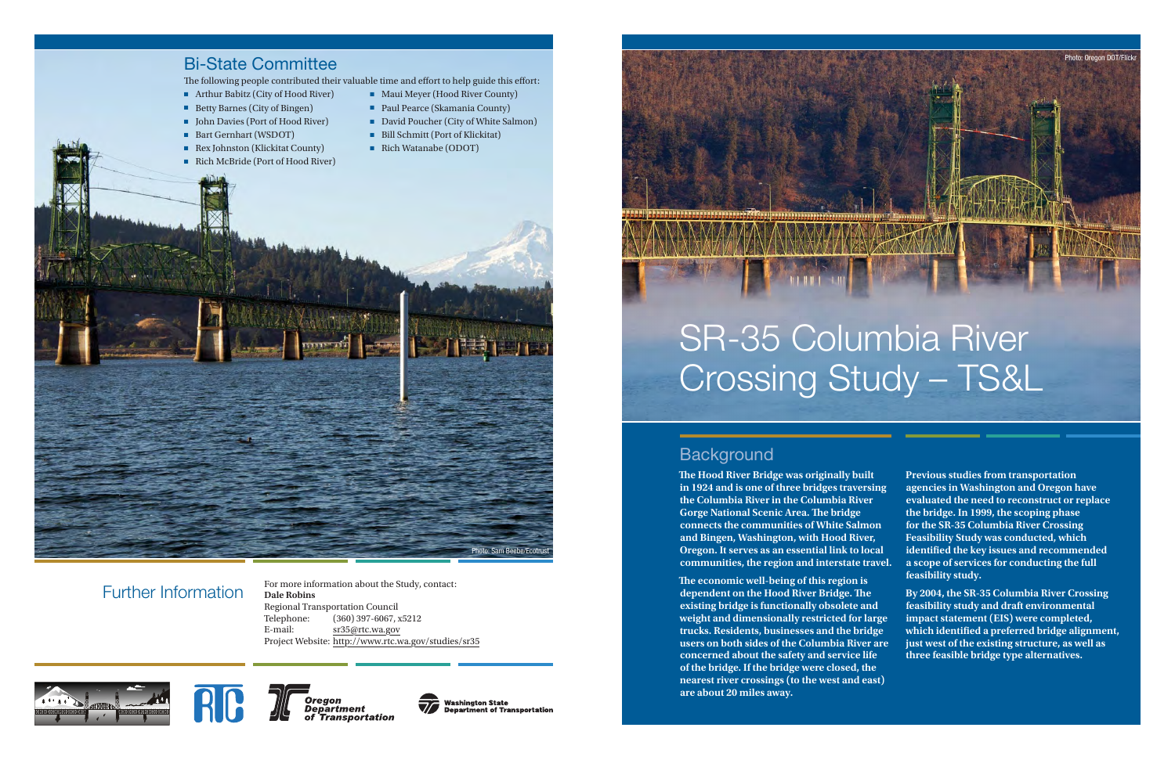**The Hood River Bridge was originally built in 1924 and is one of three bridges traversing the Columbia River in the Columbia River Gorge National Scenic Area. The bridge connects the communities of White Salmon and Bingen, Washington, with Hood River, Oregon. It serves as an essential link to local communities, the region and interstate travel.** 

**The economic well-being of this region is dependent on the Hood River Bridge. The existing bridge is functionally obsolete and weight and dimensionally restricted for large trucks. Residents, businesses and the bridge users on both sides of the Columbia River are concerned about the safety and service life of the bridge. If the bridge were closed, the nearest river crossings (to the west and east) are about 20 miles away.**

**Previous studies from transportation agencies in Washington and Oregon have evaluated the need to reconstruct or replace the bridge. In 1999, the scoping phase for the SR-35 Columbia River Crossing Feasibility Study was conducted, which identified the key issues and recommended a scope of services for conducting the full feasibility study.** 

**By 2004, the SR-35 Columbia River Crossing feasibility study and draft environmental impact statement (EIS) were completed, which identified a preferred bridge alignment, just west of the existing structure, as well as three feasible bridge type alternatives.** 



## Further Information

 For more information about the Study, contact: **Dale Robins** Regional Transportation Council Telephone: (360) 397-6067, x5212 E-mail: sr35@rtc.wa.gov Project Website: http://www.rtc.wa.gov/studies/sr35





**Oregon Department** of Transportation



Washington State<br>Department of Transportation

# SR-35 Columbia River Crossing Study – TS&L

# **Background**